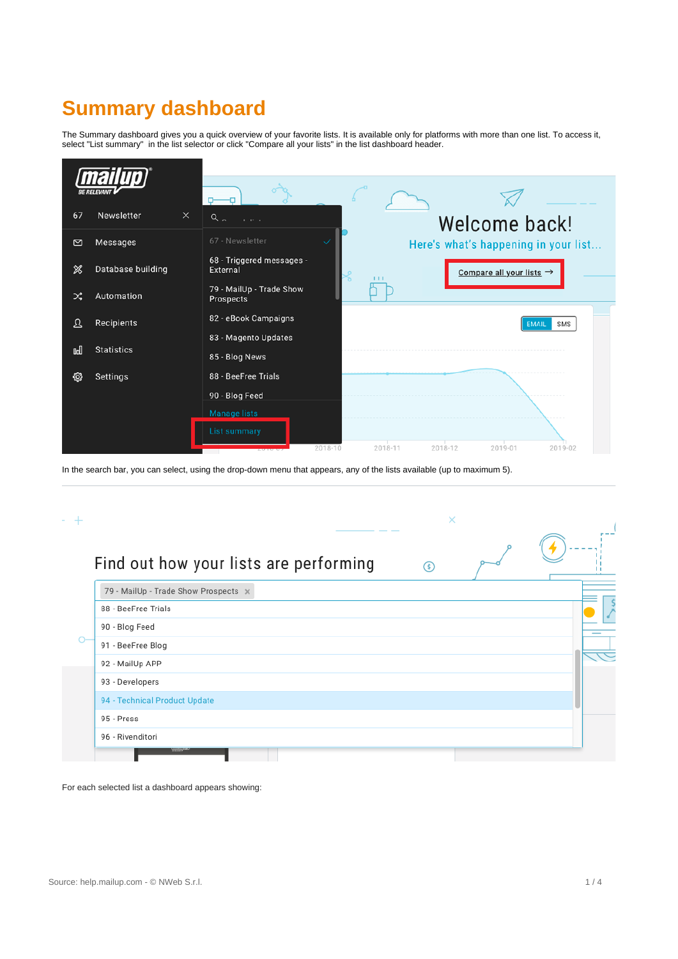## **Summary dashboard**

The Summary dashboard gives you a quick overview of your favorite lists. It is available only for platforms with more than one list. To access it, select "List summary" in the list selector or click "Compare all your lists" in the list dashboard header.

| <b>BE RELEVAN</b> |                        |                                              |                                                   |
|-------------------|------------------------|----------------------------------------------|---------------------------------------------------|
|                   |                        |                                              |                                                   |
|                   |                        |                                              |                                                   |
| 67                | Newsletter<br>$\times$ | $Q_{\alpha}$<br>$\alpha = 1, \ldots, n$      | Welcome back!                                     |
| $\circ$           | Messages               | 67 - Newsletter                              | Here's what's happening in your list              |
| ℁                 | Database building      | 68 - Triggered messages -<br>External        | Compare all your lists $\rightarrow$<br>℅<br>1111 |
| ∞                 | Automation             | 79 - MailUp - Trade Show<br><b>Prospects</b> |                                                   |
| ℒ                 | <b>Recipients</b>      | 82 - eBook Campaigns                         | SMS<br><b>EMAIL</b>                               |
|                   |                        | 83 - Magento Updates                         |                                                   |
| <b>Ool</b>        | <b>Statistics</b>      | 85 - Blog News                               |                                                   |
| හූ                | Settings               | 88 - BeeFree Trials                          |                                                   |
|                   |                        | 90 - Blog Feed                               |                                                   |
|                   |                        | <b>Manage lists</b>                          |                                                   |
|                   |                        | <b>List summary</b>                          |                                                   |
|                   |                        | 2018-10                                      | 2018-11<br>2018-12<br>2019-01<br>2019-02          |

| Find out how your lists are performing | $\circ$ |  |
|----------------------------------------|---------|--|
| 79 - MailUp - Trade Show Prospects x   |         |  |
| 88 - BeeFree Trials                    |         |  |
| 90 - Blog Feed                         |         |  |
| 91 - BeeFree Blog                      |         |  |
| 92 - MailUp APP                        |         |  |
| 93 - Developers                        |         |  |
| 94 - Technical Product Update          |         |  |
| 95 - Press                             |         |  |

For each selected list a dashboard appears showing:

In the search bar, you can select, using the drop-down menu that appears, any of the lists available (up to maximum 5).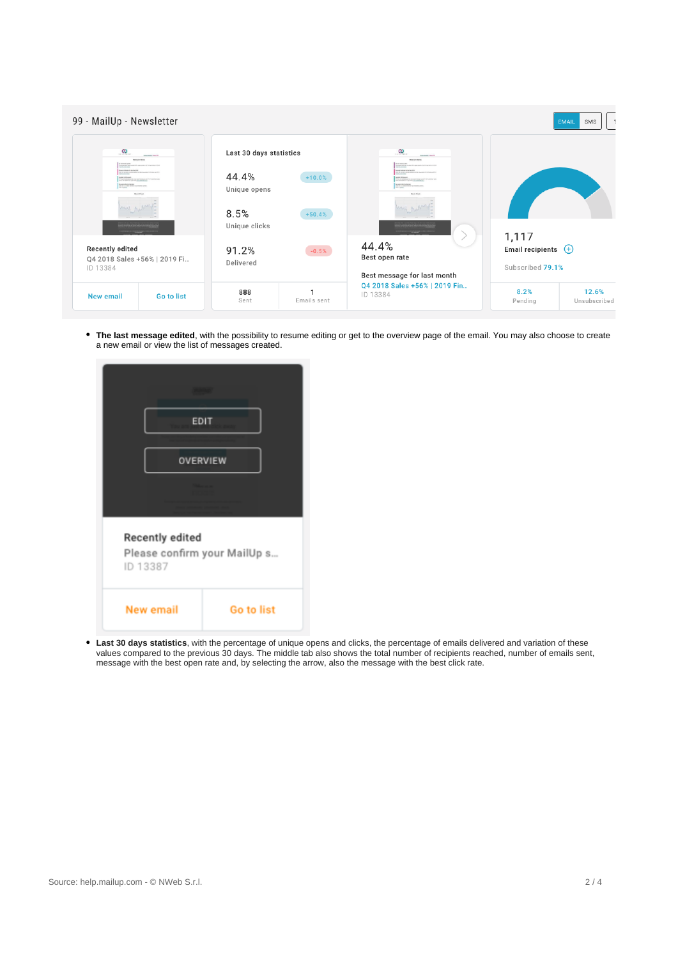| 99 - MailUp - Newsletter                                                                                                                                                                                                                                                                                                |            |                                                                           |                      |                                                                                                                                                                                                                                                                                          | SMS<br><b>EMAIL</b>                                 |
|-------------------------------------------------------------------------------------------------------------------------------------------------------------------------------------------------------------------------------------------------------------------------------------------------------------------------|------------|---------------------------------------------------------------------------|----------------------|------------------------------------------------------------------------------------------------------------------------------------------------------------------------------------------------------------------------------------------------------------------------------------------|-----------------------------------------------------|
| $\infty$<br><b>CONTRACTOR</b><br><b>Brimannifers</b><br><b>DISTURBANCE</b><br>the party as the company of the state and<br>program to day other fire of an Chine City<br>and more for company bank<br><b>AT PLAY BY REAL</b><br><b>Book Chart</b><br><b>Recently edited</b><br>Q4 2018 Sales +56%   2019 Fi<br>ID 13384 |            | Last 30 days statistics<br>44.4%<br>Unique opens<br>8.5%<br>Unique clicks | $+10.0%$<br>$+50.4%$ | $\infty$<br><b>CONTRACTOR</b><br><b>Brienpill</b> Bens<br><b>DISTURBANCE</b><br>the service and constant with starts of<br>process that does the door hand out<br>and anything committees<br><b>ALCOHOL:</b><br>The the stational process of<br><b>CALCULATION</b><br><b>Stock Chart</b> |                                                     |
|                                                                                                                                                                                                                                                                                                                         |            | 91.2%<br>$-0.5%$<br>Delivered                                             |                      | 44.4%<br>Best open rate<br>Best message for last month                                                                                                                                                                                                                                   | 1,117<br>Email recipients $(+)$<br>Subscribed 79.1% |
| <b>New email</b>                                                                                                                                                                                                                                                                                                        | Go to list | 888<br>Sent                                                               | Emails sent          | Q4 2018 Sales +56%   2019 Fin<br>ID 13384                                                                                                                                                                                                                                                | 8.2%<br>12.6%<br>Unsubscribed<br>Pending            |

**The last message edited**, with the possibility to resume editing or get to the overview page of the email. You may also choose to create a new email or view the list of messages created.



**Last 30 days statistics**, with the percentage of unique opens and clicks, the percentage of emails delivered and variation of these values compared to the previous 30 days. The middle tab also shows the total number of recipients reached, number of emails sent, message with the best open rate and, by selecting the arrow, also the message with the best click rate.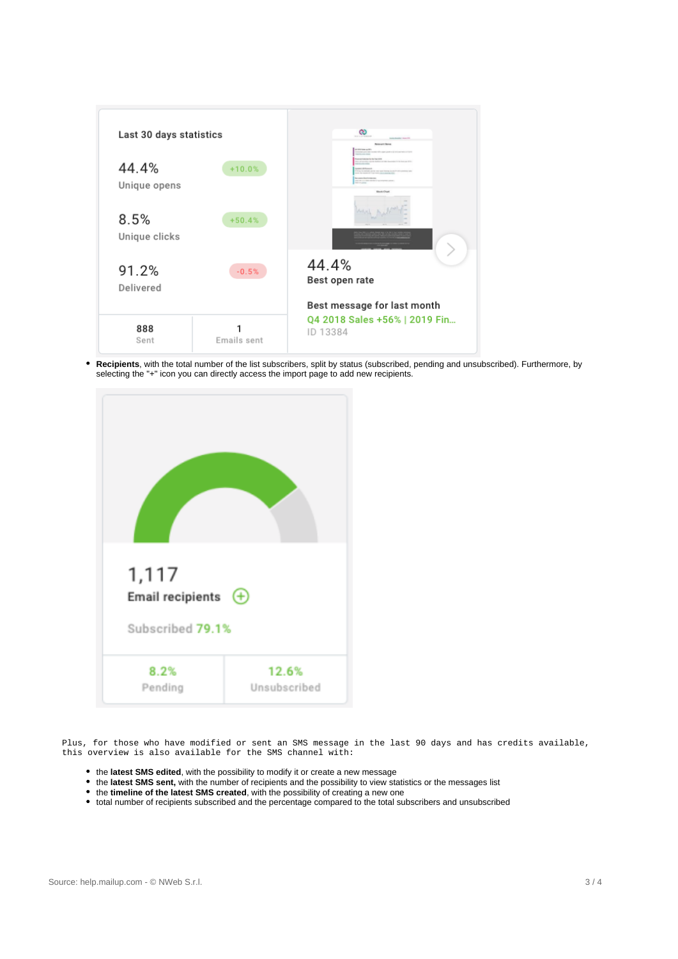

**Recipients**, with the total number of the list subscribers, split by status (subscribed, pending and unsubscribed). Furthermore, by selecting the "+" icon you can directly access the import page to add new recipients.



Plus, for those who have modified or sent an SMS message in the last 90 days and has credits available, this overview is also available for the SMS channel with:

- the **latest SMS edited**, with the possibility to modify it or create a new message
- the **latest SMS sent,** with the number of recipients and the possibility to view statistics or the messages list
- the **timeline of the latest SMS created**, with the possibility of creating a new one
- total number of recipients subscribed and the percentage compared to the total subscribers and unsubscribed